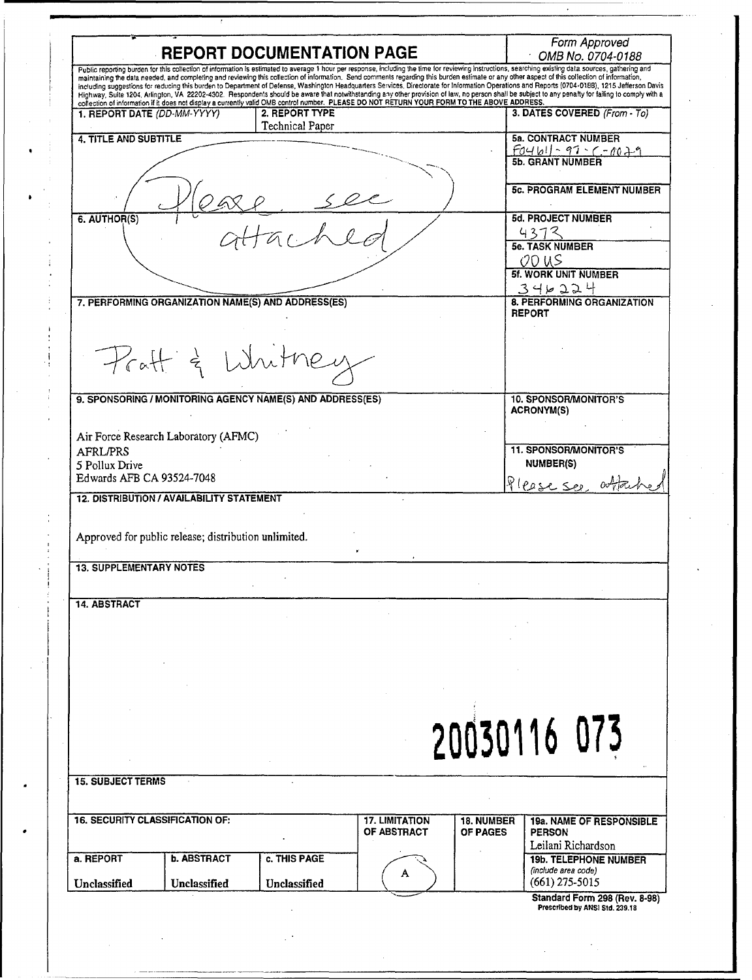|                                                                                                                                                                                                                                                                                                                                                                |                     |                                          |                                                                                                                                             |                   | Form Approved                                                                                                                                                                                                                                                                                                                                                                                          |
|----------------------------------------------------------------------------------------------------------------------------------------------------------------------------------------------------------------------------------------------------------------------------------------------------------------------------------------------------------------|---------------------|------------------------------------------|---------------------------------------------------------------------------------------------------------------------------------------------|-------------------|--------------------------------------------------------------------------------------------------------------------------------------------------------------------------------------------------------------------------------------------------------------------------------------------------------------------------------------------------------------------------------------------------------|
|                                                                                                                                                                                                                                                                                                                                                                |                     | <b>REPORT DOCUMENTATION PAGE</b>         |                                                                                                                                             |                   | OMB No. 0704-0188                                                                                                                                                                                                                                                                                                                                                                                      |
|                                                                                                                                                                                                                                                                                                                                                                |                     |                                          |                                                                                                                                             |                   | Public reporting burden for this collection of information is estimated to average 1 hour per response, including the time for reviewing instructions, searching existing data sources, gathering and<br>maintaining the data needed, and completing and reviewing this collection of information. Send comments regarding this burden estimate or any other aspect of this collection of information, |
|                                                                                                                                                                                                                                                                                                                                                                |                     |                                          |                                                                                                                                             |                   | including suggestions for reducing this burden to Department of Defense, Washington Headquarters Services, Directorate for Information Operations and Reports (0704-0188), 1215 Jefferson Davis<br>Highway, Sulte 1204, Arlington, VA 22202-4302. Respondents should be aware that notwithstanding any other provision of law, no person shall be subject to any penalty for failing to comply with a  |
|                                                                                                                                                                                                                                                                                                                                                                |                     |                                          | collection of information if it does not display a currently valid OMB control number. PLEASE DO NOT RETURN YOUR FORM TO THE ABOVE ADDRESS. |                   |                                                                                                                                                                                                                                                                                                                                                                                                        |
| 1. REPORT DATE (DD-MM-YYYY)                                                                                                                                                                                                                                                                                                                                    |                     | 2. REPORT TYPE<br><b>Technical Paper</b> |                                                                                                                                             |                   | 3. DATES COVERED (From - To)                                                                                                                                                                                                                                                                                                                                                                           |
| 4. TITLE AND SUBTITLE                                                                                                                                                                                                                                                                                                                                          |                     |                                          |                                                                                                                                             |                   | <b>5a. CONTRACT NUMBER</b>                                                                                                                                                                                                                                                                                                                                                                             |
|                                                                                                                                                                                                                                                                                                                                                                |                     |                                          |                                                                                                                                             |                   | $F04b1 - 97 - 7079$                                                                                                                                                                                                                                                                                                                                                                                    |
|                                                                                                                                                                                                                                                                                                                                                                |                     |                                          |                                                                                                                                             |                   |                                                                                                                                                                                                                                                                                                                                                                                                        |
|                                                                                                                                                                                                                                                                                                                                                                |                     |                                          |                                                                                                                                             |                   | <b>5c. PROGRAM ELEMENT NUMBER</b>                                                                                                                                                                                                                                                                                                                                                                      |
|                                                                                                                                                                                                                                                                                                                                                                |                     |                                          |                                                                                                                                             |                   |                                                                                                                                                                                                                                                                                                                                                                                                        |
| 6. AUTHOR(S)                                                                                                                                                                                                                                                                                                                                                   |                     | $\mathbb{Z}$                             |                                                                                                                                             |                   | <b>5d. PROJECT NUMBER</b><br>4373                                                                                                                                                                                                                                                                                                                                                                      |
|                                                                                                                                                                                                                                                                                                                                                                |                     |                                          |                                                                                                                                             |                   | <b>5e. TASK NUMBER</b>                                                                                                                                                                                                                                                                                                                                                                                 |
|                                                                                                                                                                                                                                                                                                                                                                |                     |                                          |                                                                                                                                             |                   | OO US                                                                                                                                                                                                                                                                                                                                                                                                  |
|                                                                                                                                                                                                                                                                                                                                                                |                     |                                          |                                                                                                                                             |                   | <b>5f. WORK UNIT NUMBER</b>                                                                                                                                                                                                                                                                                                                                                                            |
|                                                                                                                                                                                                                                                                                                                                                                |                     |                                          |                                                                                                                                             |                   | 3 4 2 2 2 4                                                                                                                                                                                                                                                                                                                                                                                            |
| 7. PERFORMING ORGANIZATION NAME(S) AND ADDRESS(ES)                                                                                                                                                                                                                                                                                                             |                     |                                          |                                                                                                                                             |                   | 8. PERFORMING ORGANIZATION<br><b>REPORT</b>                                                                                                                                                                                                                                                                                                                                                            |
|                                                                                                                                                                                                                                                                                                                                                                |                     |                                          |                                                                                                                                             |                   |                                                                                                                                                                                                                                                                                                                                                                                                        |
|                                                                                                                                                                                                                                                                                                                                                                |                     |                                          |                                                                                                                                             |                   |                                                                                                                                                                                                                                                                                                                                                                                                        |
| Praff & White                                                                                                                                                                                                                                                                                                                                                  |                     |                                          |                                                                                                                                             |                   |                                                                                                                                                                                                                                                                                                                                                                                                        |
|                                                                                                                                                                                                                                                                                                                                                                |                     |                                          |                                                                                                                                             |                   |                                                                                                                                                                                                                                                                                                                                                                                                        |
|                                                                                                                                                                                                                                                                                                                                                                |                     |                                          |                                                                                                                                             |                   |                                                                                                                                                                                                                                                                                                                                                                                                        |
| 9. SPONSORING / MONITORING AGENCY NAME(S) AND ADDRESS(ES)                                                                                                                                                                                                                                                                                                      |                     |                                          |                                                                                                                                             |                   | <b>10. SPONSOR/MONITOR'S</b><br><b>ACRONYM(S)</b>                                                                                                                                                                                                                                                                                                                                                      |
|                                                                                                                                                                                                                                                                                                                                                                |                     |                                          |                                                                                                                                             |                   |                                                                                                                                                                                                                                                                                                                                                                                                        |
|                                                                                                                                                                                                                                                                                                                                                                |                     |                                          |                                                                                                                                             |                   |                                                                                                                                                                                                                                                                                                                                                                                                        |
|                                                                                                                                                                                                                                                                                                                                                                |                     |                                          |                                                                                                                                             |                   |                                                                                                                                                                                                                                                                                                                                                                                                        |
|                                                                                                                                                                                                                                                                                                                                                                |                     |                                          |                                                                                                                                             |                   | <b>11. SPONSOR/MONITOR'S</b>                                                                                                                                                                                                                                                                                                                                                                           |
|                                                                                                                                                                                                                                                                                                                                                                |                     |                                          |                                                                                                                                             |                   | <b>NUMBER(S)</b>                                                                                                                                                                                                                                                                                                                                                                                       |
|                                                                                                                                                                                                                                                                                                                                                                |                     |                                          |                                                                                                                                             |                   |                                                                                                                                                                                                                                                                                                                                                                                                        |
|                                                                                                                                                                                                                                                                                                                                                                |                     |                                          |                                                                                                                                             |                   | Please see whene                                                                                                                                                                                                                                                                                                                                                                                       |
|                                                                                                                                                                                                                                                                                                                                                                |                     |                                          |                                                                                                                                             |                   |                                                                                                                                                                                                                                                                                                                                                                                                        |
|                                                                                                                                                                                                                                                                                                                                                                |                     |                                          |                                                                                                                                             |                   |                                                                                                                                                                                                                                                                                                                                                                                                        |
|                                                                                                                                                                                                                                                                                                                                                                |                     |                                          |                                                                                                                                             |                   |                                                                                                                                                                                                                                                                                                                                                                                                        |
|                                                                                                                                                                                                                                                                                                                                                                |                     |                                          |                                                                                                                                             |                   |                                                                                                                                                                                                                                                                                                                                                                                                        |
|                                                                                                                                                                                                                                                                                                                                                                |                     |                                          |                                                                                                                                             |                   |                                                                                                                                                                                                                                                                                                                                                                                                        |
|                                                                                                                                                                                                                                                                                                                                                                |                     |                                          |                                                                                                                                             |                   |                                                                                                                                                                                                                                                                                                                                                                                                        |
|                                                                                                                                                                                                                                                                                                                                                                |                     |                                          |                                                                                                                                             |                   |                                                                                                                                                                                                                                                                                                                                                                                                        |
|                                                                                                                                                                                                                                                                                                                                                                |                     |                                          |                                                                                                                                             |                   |                                                                                                                                                                                                                                                                                                                                                                                                        |
|                                                                                                                                                                                                                                                                                                                                                                |                     |                                          |                                                                                                                                             |                   |                                                                                                                                                                                                                                                                                                                                                                                                        |
|                                                                                                                                                                                                                                                                                                                                                                |                     |                                          |                                                                                                                                             |                   |                                                                                                                                                                                                                                                                                                                                                                                                        |
|                                                                                                                                                                                                                                                                                                                                                                |                     |                                          |                                                                                                                                             |                   |                                                                                                                                                                                                                                                                                                                                                                                                        |
|                                                                                                                                                                                                                                                                                                                                                                |                     |                                          |                                                                                                                                             |                   |                                                                                                                                                                                                                                                                                                                                                                                                        |
|                                                                                                                                                                                                                                                                                                                                                                |                     |                                          |                                                                                                                                             |                   |                                                                                                                                                                                                                                                                                                                                                                                                        |
|                                                                                                                                                                                                                                                                                                                                                                |                     |                                          |                                                                                                                                             |                   |                                                                                                                                                                                                                                                                                                                                                                                                        |
|                                                                                                                                                                                                                                                                                                                                                                |                     |                                          |                                                                                                                                             |                   |                                                                                                                                                                                                                                                                                                                                                                                                        |
|                                                                                                                                                                                                                                                                                                                                                                |                     |                                          |                                                                                                                                             |                   |                                                                                                                                                                                                                                                                                                                                                                                                        |
|                                                                                                                                                                                                                                                                                                                                                                |                     |                                          |                                                                                                                                             |                   |                                                                                                                                                                                                                                                                                                                                                                                                        |
|                                                                                                                                                                                                                                                                                                                                                                |                     |                                          |                                                                                                                                             |                   | 20030116 073                                                                                                                                                                                                                                                                                                                                                                                           |
|                                                                                                                                                                                                                                                                                                                                                                |                     |                                          |                                                                                                                                             |                   |                                                                                                                                                                                                                                                                                                                                                                                                        |
|                                                                                                                                                                                                                                                                                                                                                                |                     |                                          |                                                                                                                                             |                   |                                                                                                                                                                                                                                                                                                                                                                                                        |
|                                                                                                                                                                                                                                                                                                                                                                |                     |                                          |                                                                                                                                             |                   |                                                                                                                                                                                                                                                                                                                                                                                                        |
|                                                                                                                                                                                                                                                                                                                                                                |                     |                                          |                                                                                                                                             |                   |                                                                                                                                                                                                                                                                                                                                                                                                        |
|                                                                                                                                                                                                                                                                                                                                                                |                     |                                          | <b>17. LIMITATION</b>                                                                                                                       | <b>18. NUMBER</b> | <b>19a. NAME OF RESPONSIBLE</b>                                                                                                                                                                                                                                                                                                                                                                        |
|                                                                                                                                                                                                                                                                                                                                                                |                     |                                          | OF ABSTRACT                                                                                                                                 | <b>OF PAGES</b>   | <b>PERSON</b>                                                                                                                                                                                                                                                                                                                                                                                          |
|                                                                                                                                                                                                                                                                                                                                                                |                     |                                          |                                                                                                                                             |                   | Leilani Richardson                                                                                                                                                                                                                                                                                                                                                                                     |
| Air Force Research Laboratory (AFMC)<br><b>AFRL/PRS</b><br>5 Pollux Drive<br>Edwards AFB CA 93524-7048<br><b>12. DISTRIBUTION / AVAILABILITY STATEMENT</b><br>Approved for public release; distribution unlimited.<br><b>13. SUPPLEMENTARY NOTES</b><br><b>14. ABSTRACT</b><br><b>15. SUBJECT TERMS</b><br><b>16. SECURITY CLASSIFICATION OF:</b><br>a. REPORT | <b>b. ABSTRACT</b>  | c. THIS PAGE                             |                                                                                                                                             |                   | <b>19b. TELEPHONE NUMBER</b>                                                                                                                                                                                                                                                                                                                                                                           |
| Unclassified                                                                                                                                                                                                                                                                                                                                                   | <b>Unclassified</b> | Unclassified                             | A                                                                                                                                           |                   | (include area code)<br>$(661)$ 275-5015                                                                                                                                                                                                                                                                                                                                                                |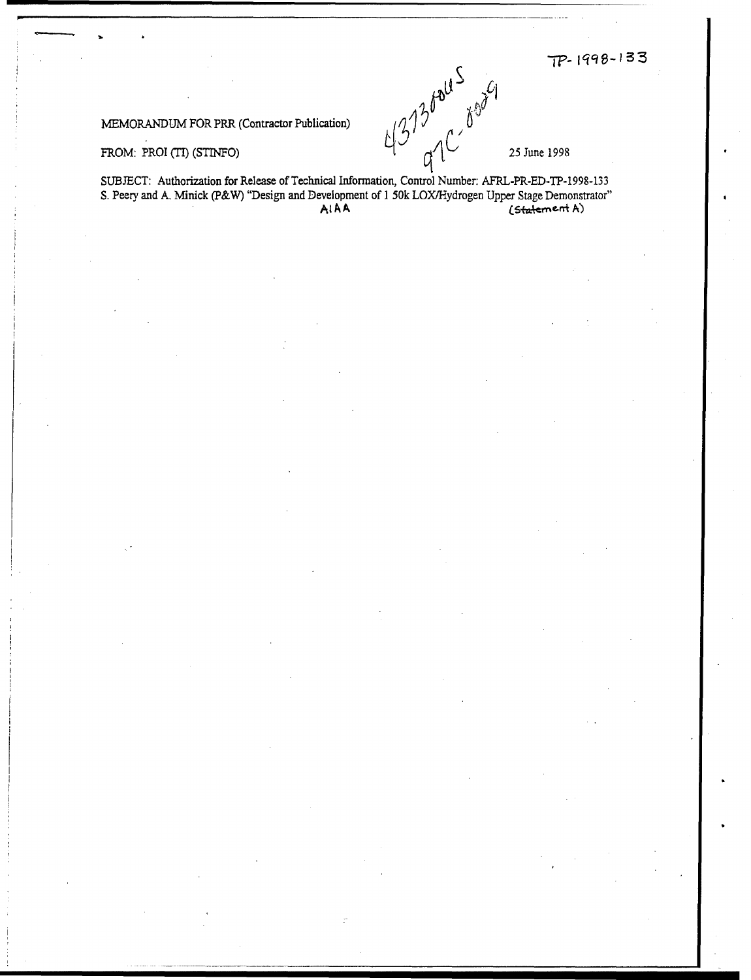$TP - 1998 - 133$ 

MEMORANDUM FOR PRR (Contractor Publication)  $\iint_{\mathcal{U}}$   $\iint_{\mathcal{U}}$ 

FROM: PROI (TI) (STINFO)  $\begin{bmatrix} 1 & 0 \end{bmatrix}$   $\begin{bmatrix} 1 & 0 \end{bmatrix}$  25 June 1998

SUBJECT: Authorization for Release of Technical Information, Control Number: AFRL-PR-ED-TP-1998-133 S. Peery and A. Minick (P&W) "Design and Development of 1 50k LOX/Hydrogen Upper Stage Demonstrator"<br>AIAA (Statement A)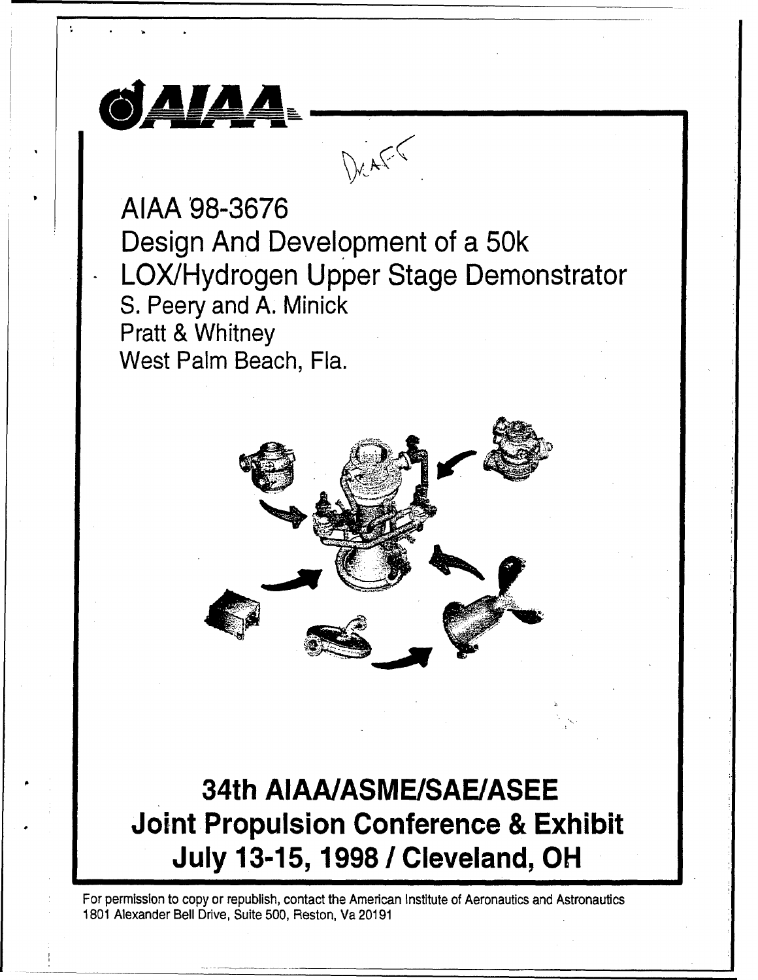

## 34th **AIAA/ASME/SAEIASEE** Joint Propulsion Conference **&** Exhibit July **13-15, 1998 /** Cleveland, OH

For permission to copy or republish, contact the American Institute of Aeronautics and Astronautics 1801 Alexander Bell Drive, Suite 500, Reston, Va 20191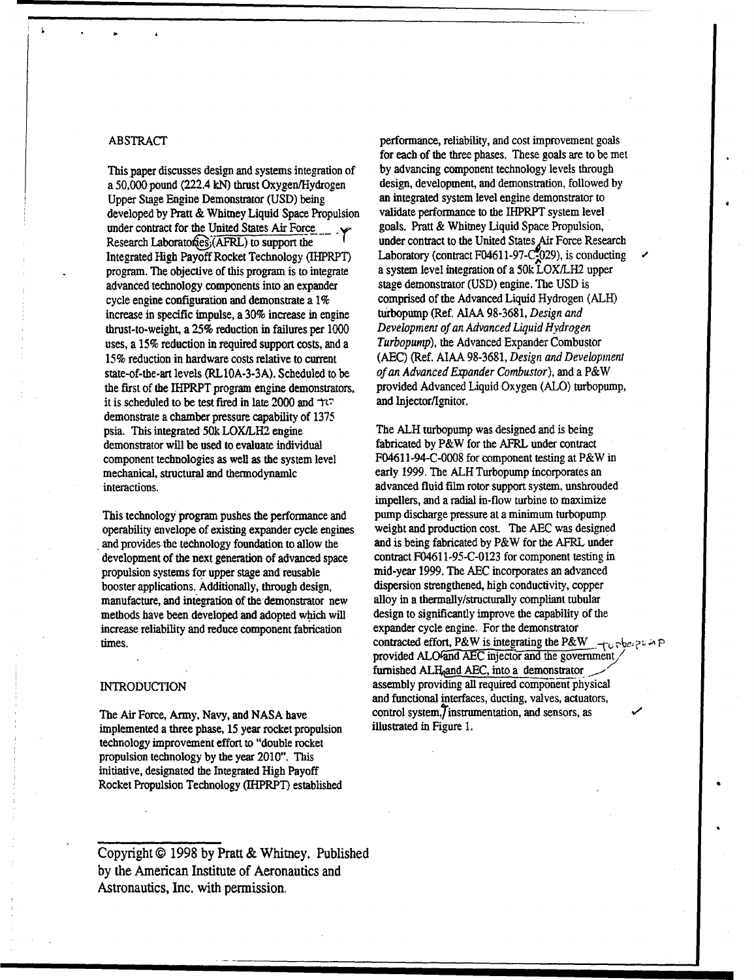a 50,000 pound (222.4 kN) thrust Oxygen/Hydrogen design, development, and demonstration, followed Upper Stage Engine Demonstrator (USD) being an integrated system level engine demonstrator to developed by Pratt & Whitney Liquid Space Propulsion validate performance to the IHPRPT system level under contract for the United States Air Force goals. Pratt & Whitney Liquid Space Propulsion, Research Laboratofies; (AFRL) to support the under contract to the United States Air Force Research program. The objective of this program is to integrate a system level integration of a 50k LOX/LH2 upper advanced technology components into an expander stage demonstrator (USD) engine. The USD is cycle engine configuration and demonstrate a 1% comprised of the Advanced Liquid Hydrogen (ALH) increase in specific impulse, a 30% increase in engine turbopump (Ref. AIAA 98-3681, *Design and* thrust-to-weight, a 25% reduction in failures per 1000 *Development of an Advanced Liquid Hydrogen* uses, a 15% reduction in required support costs, and a *Turbopump),* the Advanced Expander Combustor 15% reduction in hardware costs relative to current (AEC) (Ref. AIAA 98-3681, *Design and Development* state-of-the-art levels (RL10A-3-3A). Scheduled to be *of an Advanced Expander Combustor*), and a P&W<br>the first of the IHPRPT program engine demonstrators. provided Advanced Liquid Oxygen (ALO) turbopump, the first of the IHPRPT program engine demonstrators, it is scheduled to be test fired in late 2000 and  $\text{Tr}\text{C}$  and Injector/Ignitor. demonstrate a chamber pressure capability of 1375 psia. This integrated 50k LOX/LH2 engine The ALH turbopump was designed and is being demonstrator will be used to evaluate individual fabricated by P&W for the AFRL under contract component technologies as well as the system level F04611-94-C-0008 for component testing at P&W in mechanical, structural and thermodynamic early 1999. The ALH Turbopump incorporates an interactions. advanced fluid film rotor support system, unshrouded

operability envelope of existing expander cycle engines weight and production cost. The **AEC** was designed and provides the technology foundation to allow the and is being fabricated by P&W for the AFRL under development of the next generation of advanced space contract F04611-95-C-0123 for component testing in propulsion systems for upper stage and reusable mid-year 1999. The **AEC** incorporates an advanced booster applications. Additionally, through design, dispersion strengthened, high conductivity, copper manufacture, and integration of the demonstrator new alloy in a thermally/structurally compliant tubular methods have been developed and adopted which will design to significantly improve the capability of the increase reliability and reduce component fabrication expander cycle engine. For the demonstrator

implemented a three phase, 15 year rocket propulsion technology improvement effort to "double rocket propulsion technology by the year 2010". This initiative, designated the Integrated High Payoff Rocket Propulsion Technology (IHPRPT) established

Copyright **@** 1998 by Pratt & Whitney. Published by the American Institute of Aeronautics and Astronautics, Inc. with permission,

ABSTRACT **performance**, reliability, and cost improvement goals for each of the three phases. These goals are to be met This paper discusses design and systems integration of by advancing component technology levels through a 50.000 pound (222.4 kN) thrust Oxygen/Hydrogen design, development, and demonstration, followed by Integrated High Payoff Rocket Technology (IHPRPT) Laboratory (contract F04611-97-C-029), is conducting  $\cdot$ 

impellers, and a radial in-flow turbine to maximize This technology program pushes the performance and pump discharge pressure at a minimum turbopump times. contracted effort, P&W is integrating the P&W  $_{\text{eff}}$  .  $\frac{1}{2}$  :  $\frac{1}{2}$  :  $\frac{1}{2}$ provided ALO<sup>and</sup> AEC injector and the government furnished ALH, and AEC, into a demonstrator INTRODUCTION assembly providing all required component physical and functional interfaces, ducting, valves, actuators, The Air Force, Army, Navy, and NASA have control system, instrumentation, and sensors, as<br>implemented a three phase 15 year rocket propulsion illustrated in Figure 1.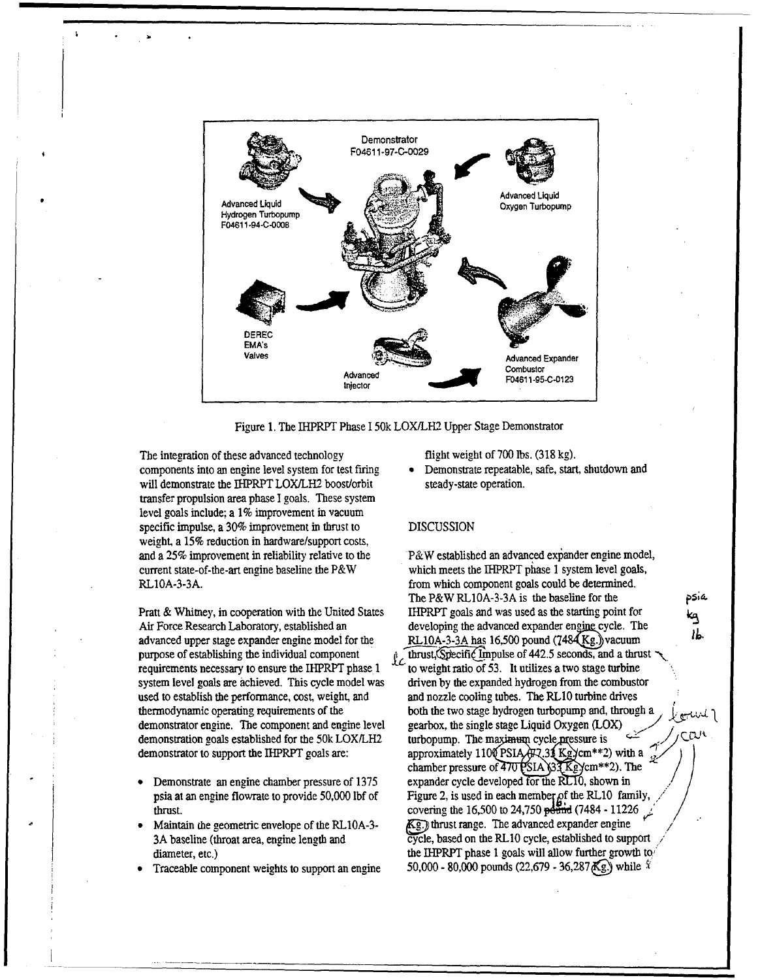

Figure 1. The IHPRPT Phase 150k LOX/LH2 Upper Stage Demonstrator

The integration of these advanced technology flight weight of 700 lbs. (318 kg). components into an engine level system for test firing • Demonstrate repeatable, safe, start, shutdown and will demonstrate the IHPRPT LOX/LH2 boost/orbit steady-state operation. transfer propulsion area phase I goals. These system level goals include; a 1% improvement in vacuum specific impulse, a 30% improvement in thrust to DISCUSSION weight, a 15% reduction in hardware/support costs, RL10A-3-3A. from which component goals could be determined.

Air Force Research Laboratory, established an developing the advanced expander engine cycle. The advanced upper stage expander engine model for the RL10A-3-3A has 16,500 pound (7484 Kg.) vacuum purpose of establishing the individual component  $\hat{p}$  thrust, Specific Impulse of 442.5 seconds, and a thrust requirements necessary to ensure the IHPRPT phase  $1 \sim$  to weight ratio of 53. It utilizes a two stage turbine system level goals are achieved. This cycle model was driven by the expanded hydrogen from the combustor used to establish the performance, cost, weight, and and nozzle cooling tubes. The RLIO turbine drives thermodynamic operating requirements of the both the two stage hydrogen turbopump and, through a , demonstrator engine. The component and engine level gearbox, the single stage Liquid Oxygen (LOX)

- 
- 
- 

and a 25% improvement in reliability relative to the P&W established an advanced expander engine model, current state-of-the-art engine baseline the P&W which meets the IHPRPT phase 1 system level goals, The P&W RL10A-3-3A is the baseline for the *pia.* Pratt & Whitney, in cooperation with the United States IHPRPT goals and was used as the starting point for **kg** demonstration goals established for the 50k LOX/LH2 turbopump. The maximum cycle pressure is  $\sqrt{\frac{C V}{V}}$ demonstrator to support the IHPRPT goals are: approximately 1100 PSIA $\pi$ , 31 Kg) cm\*\*2) with a  $\frac{1}{2}$ . chamber pressure of  $\overline{470}$  PSIA  $\frac{33}{1}$  Keycm<sup>\*\*</sup>2). The Demonstrate an engine chamber pressure of 1375 expander cycle developed for the RLT0, shown in psia at an engine flowrate to provide 50,000 lbf of Figure 2, is used in each member of the RL10 family, thrust. covering the 16,500 to 24,750 (7484 - 11226 Maintain the geometric envelope of the RL10A-3-  $\overline{Kg}$ ) thrust range. The advanced expander engine 3A baseline (throat area, engine length and cycle, based on the RL1O cycle, established to support / diameter, etc.) the IHPRPT phase 1 goals will allow further growth to Traceable component weights to support an engine 50,000 - 80,000 pounds (22,679 - 36,287  $\mathbb{K}$ g.) while  $\mathbb{R}$ 

ıL.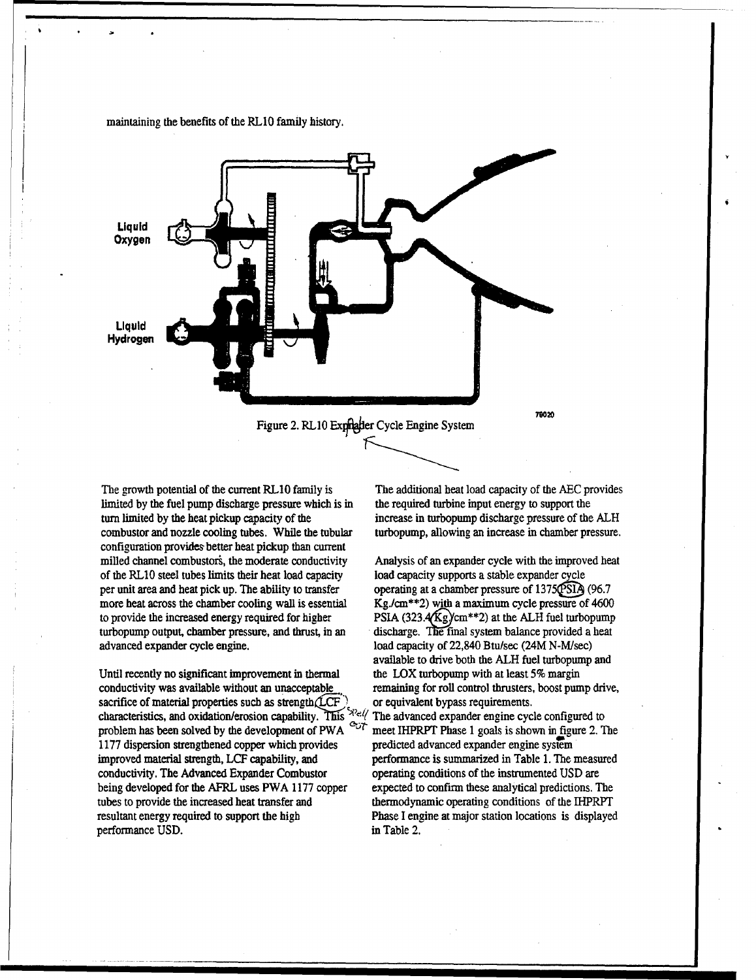

maintaining the benefits of the RLlO family history.

The growth potential of the current RL1O family is The additional heat load capacity of the **AEC** provides limited by the fuel pump discharge pressure which is in the required turbine input energy to support the turn limited by the heat pickup capacity of the increase in turbopump discharge pressure of the ALH combustor and nozzle cooling tubes. While the tubular turbopump, allowing an increase in chamber pressure. configuration provides better heat pickup than current milled channel combustors, the moderate conductivity Analysis of an expander cycle with the improved heat of the RL1O steel tubes limits their heat load capacity load capacity supports a stable expander cycle per unit area and heat pick up. The ability to transfer operating at a chamber pressure of 1375QSIA (96.7) more heat across the chamber cooling wall is essential Kg./cm\*\*2) with a maximum cycle pressure of 4600 to provide the increased energy required for higher PSIA  $(323.4\text{Kg})$  cm<sup>\*\*</sup>2) at the ALH fuel turbopump turbopump output, chamber pressure, and thrust, in an discharge. The final system balance provided a heat

Until recently no significant improvement in thermal the LOX turbopump with at least 5% margin conductivity was available without an unacceptable remaining for roll control thrusters, boost pump drive, sacrifice of material properties such as strength $(\text{LCF})$  or equivalent bypass requirements.<br>characteristics, and oxidation/erosion canability. This  $\frac{2}{3}$  The advanced expander engine cyc characteristics, and oxidation/erosion capability,. is **'** The advanced expander engine cycle configured to problem has been solved by the development of PWA  $\sim$ <sup>C</sup> meet IHPRPT Phase 1 goals is shown in figure 2. The 1177 dispersion strengthened copper which provides predicted advanced expander engine system improved material strength, LCF capability, and performance is summarized in Table 1. The measured conductivity. The Advanced Expander Combustor operating conditions of the instrumented USD are being developed for the AFRL uses PWA 1177 copper expected to confirm these analytical predictions. The tubes to provide the increased heat transfer and thermodynamic operating conditions of the IHPRPT resultant energy required to support the high Phase I engine at major station locations is displayed performance USD. in Table 2.

advanced expander cycle engine, load capacity of 22,840 Btu/sec (24M N-M/sec) available to drive both the ALH fuel turbopump and

" <del>" I a ilay kaominina mponina mponina mponina mponina amin'ny faritr'i Normandie amin'ny fivondronan-kaominin'i C</del><br>Ny faritr'ora dia mponina mponina ny taona mponina mponina mponina mponina amin'ny fivondronan-kaominina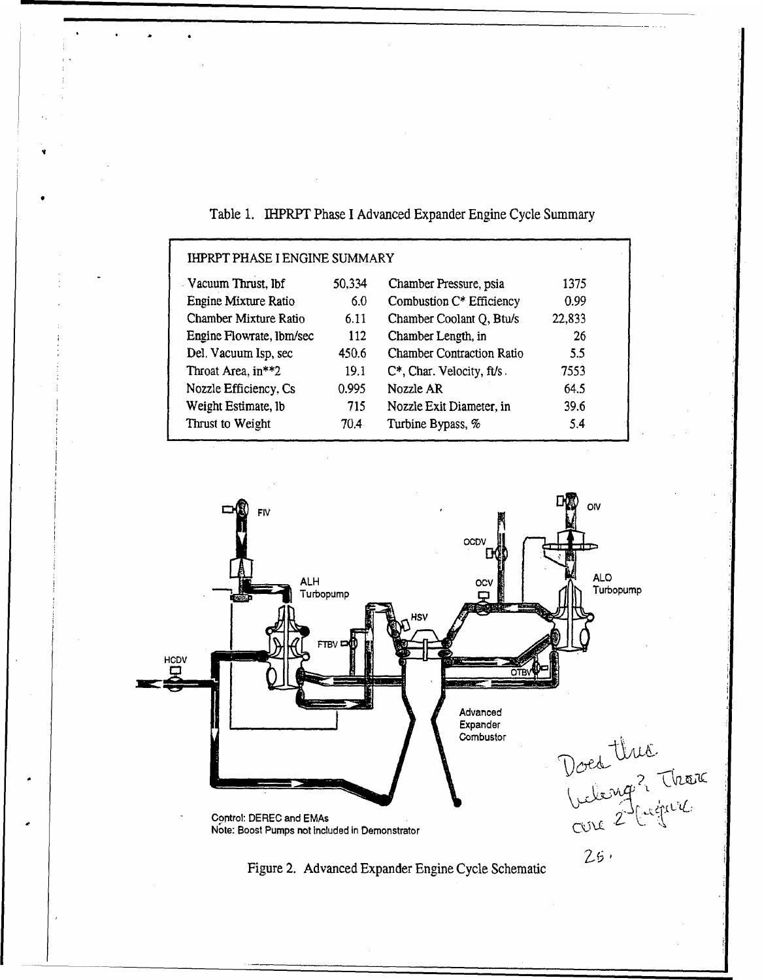| <b>IHPRPT PHASE I ENGINE SUMMARY</b> |        |                                  |        |  |  |
|--------------------------------------|--------|----------------------------------|--------|--|--|
| Vacuum Thrust, lbf                   | 50,334 | Chamber Pressure, psia           | 1375   |  |  |
| Engine Mixture Ratio                 | 6.0    | Combustion C* Efficiency         | 0.99   |  |  |
| Chamber Mixture Ratio                | 6.11   | Chamber Coolant Q, Btu/s         | 22,833 |  |  |
| Engine Flowrate, Ibm/sec             | 112    | Chamber Length, in               | 26     |  |  |
| Del. Vacuum Isp, sec                 | 450.6  | <b>Chamber Contraction Ratio</b> | 5.5    |  |  |
| Throat Area, in**2                   | 19.1   | C*, Char. Velocity, ft/s.        | 7553   |  |  |
| Nozzle Efficiency, Cs                | 0.995  | Nozzle AR                        | 64.5   |  |  |
| Weight Estimate, lb                  | 715    | Nozzle Exit Diameter, in         | 39.6   |  |  |
| Thrust to Weight                     | 70.4   | Turbine Bypass, %                | 5.4    |  |  |
|                                      |        |                                  |        |  |  |

Table 1. IHPRPT Phase I Advanced Expander Engine Cycle Summary

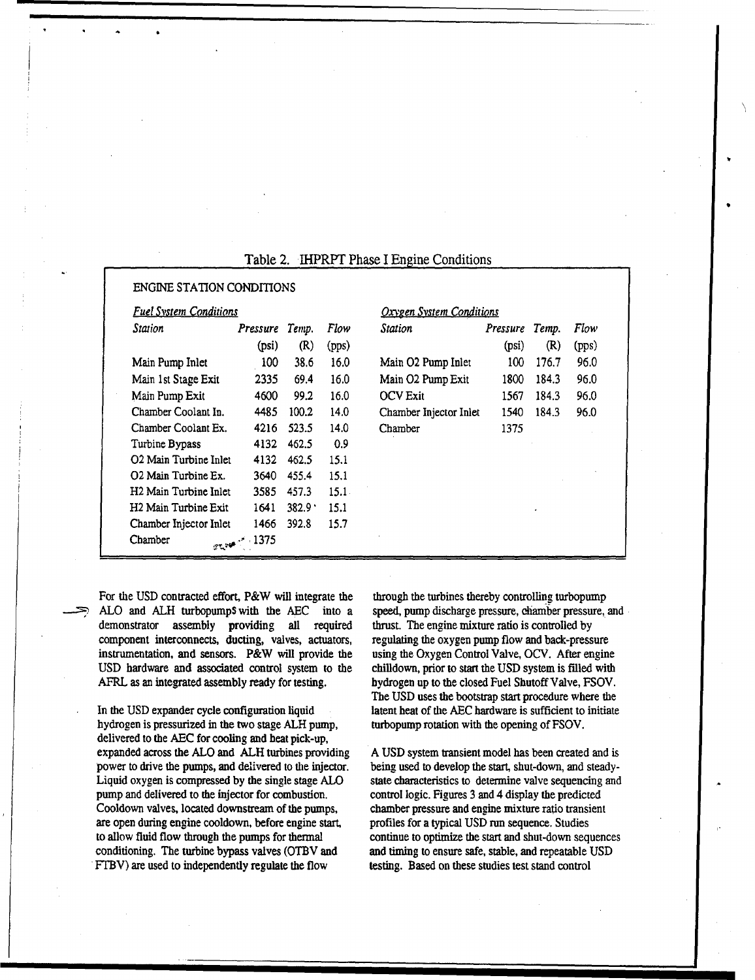| <b>Fuel System Conditions</b>    |                 |       | <b>Oxygen System Conditions</b> |                        |          |       |       |
|----------------------------------|-----------------|-------|---------------------------------|------------------------|----------|-------|-------|
| Station                          | <b>Pressure</b> | Temp. | Flow                            | <b>Station</b>         | Pressure | Temp. | Flow  |
|                                  | (psi)           | (R)   | (pps)                           |                        | (psi)    | (R)   | (pps) |
| Main Pump Inlet                  | 100             | 38.6  | 16.0                            | Main O2 Pump Inlet     | 100      | 176.7 | 96.0  |
| Main 1st Stage Exit              | 2335            | 69.4  | 16.0                            | Main O2 Pump Exit      | 1800     | 184.3 | 96.0  |
| Main Pump Exit                   | 4600            | 99.2  | 16.0                            | <b>OCV</b> Exit        | 1567     | 184.3 | 96.0  |
| Chamber Coolant In.              | 4485            | 100.2 | 14.0                            | Chamber Injector Inlet | 1540     | 184.3 | 96.0  |
| Chamber Coolant Ex.              | 4216            | 523.5 | 14.0                            | Chamber                | 1375     |       |       |
| Turbine Bypass                   | 4132            | 462.5 | 0.9                             |                        |          |       |       |
| O2 Main Turbine Inlet            | 4132            | 462.5 | 15.1                            |                        |          |       |       |
| O2 Main Turbine Ex.              | 3640            | 455.4 | 15.1                            |                        |          |       |       |
| H2 Main Turbine Inlet            | 3585            | 457.3 | $15.1 -$                        |                        |          |       |       |
| H <sub>2</sub> Main Turbine Exit | 1641            | 382.9 | 15.1                            |                        |          | ٠     |       |
| Chamber Injector Inlet           | 1466            | 392.8 | 15.7                            |                        |          |       |       |
| Chamber                          | 25.375          |       |                                 |                        |          |       |       |

## Table 2. IHPRPT Phase I Engine Conditions

For the USD contracted effort, P&W will integrate the through the turbines thereby controlling turbopump ALO and ALH turbopumps with the AEC into a speed, pump discharge pressure, chamber pressure, and demonstrator assembly providing all required thrust. The engine mixture ratio is controlled by component interconnects, ducting, valves, actuators, regulating the oxygen pump flow and back-pressure instrumentation, and sensors. P&W will provide the using the Oxygen Control Valve, OCV. After engine USD hardware and associated control system to the chilldown, prior to start the USD system is filled with AFRL as an integrated assembly ready for testing. hydrogen up to the closed Fuel Shutoff Valve, FSOV.

hydrogen is pressurized in the two stage ALH pump, turbopump rotation with the opening of FSOV. delivered to the **AEC** for cooling and heat pick-up, expanded across the ALO and ALH turbines providing A USD system transient model has been created and is power to drive the pumps, and delivered to the injector. being used to develop the start, shut-down, and steady-Liquid oxygen is compressed by the single stage ALO state characteristics to determine valve sequencing and pump and delivered to the injector for combustion. control logic. Figures 3 and 4 display the predicted Cooldown valves, located downstream of the pumps, chamber pressure and engine mixture ratio transient are open during engine cooldown, before engine start, profiles for a typical USD run sequence. Studies to allow fluid flow through the pumps for thermal continue to optimize the start and shut-down sequences conditioning. The turbine bypass valves (OTBV and and timing to ensure safe, stable, and repeatable USD FTBV) are used to independently regulate the flow testing. Based on these studies test stand control

The USD uses the bootstrap start procedure where the In the USD expander cycle configuration liquid latent heat of the **AEC** hardware is sufficient to initiate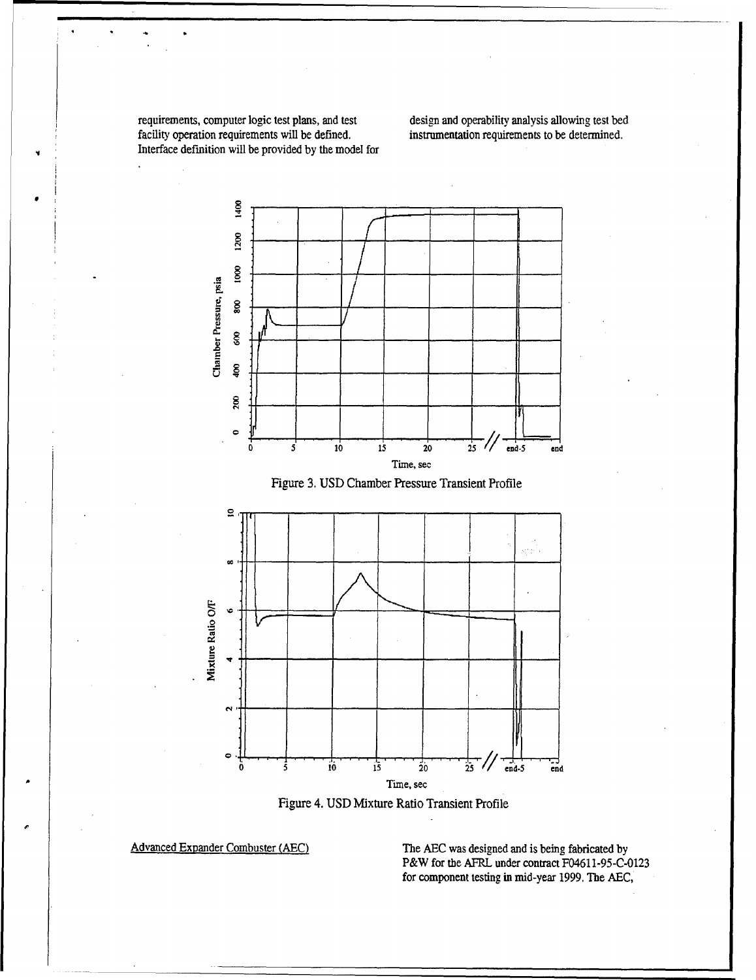requirements, computer logic test plans, and test design and operability analysis allowing test bed facility operation requirements will be defined.<br>
instrumentation requirements to be determined. facility operation requirements will be defined. Interface definition will be provided by the model for

 $\ddot{\phantom{a}}$ 







Advanced Expander Combuster (AEC) The **AEC** was designed and is being fabricated by P&W for the AFRL under contract F04611-95-C-0123 for component testing in mid-year 1999. The AEC,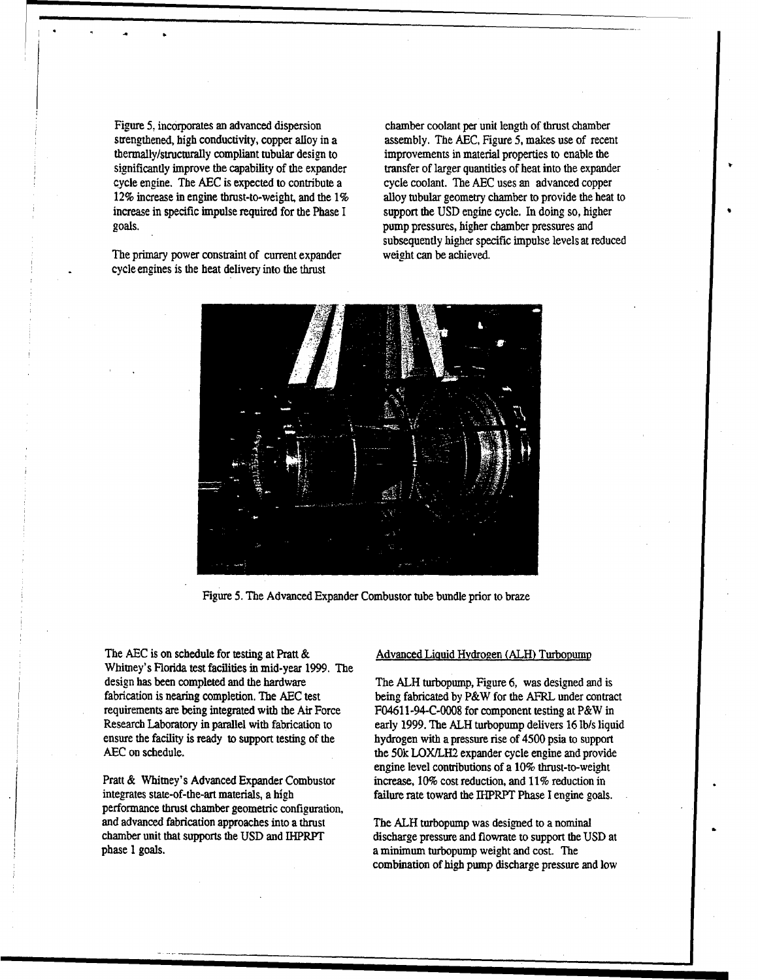Figure **5,** incorporates an advanced dispersion chamber coolant per unit length of thrust chamber thermally/structurally compliant tubular design to improvements in material properties to enable the cycle enaine. The **AEC** is expected to contribute a cycle coolant. The **AEC** uses an advanced copper increase in specific impulse required for the Phase I support the USD engine cycle. In doing so, higher goals. pump pressures, higher chamber pressures and

The primary power constraint of current expander weight can be achieved. cycle engines is the heat delivery into the thrust

strengthened, high conductivity, copper alloy in a assembly. The AEC, Figure 5, makes use of recent significantly improve the capability of the expander transfer of larger quantities of heat into the expander 12% increase in engine thrust-to-weight, and the 1% alloy tubular geometry chamber to provide the heat to subsequently higher specific impulse levels at reduced



Figure 5. The Advanced Expander Combustor tube bundle prior to braze

The AEC is on schedule for testing at Pratt & Advanced Liquid Hydrogen (ALH) Turbopump Whitney's Florida test facilities in mid-year 1999. The design has been completed and the hardware The ALH turbopump, Figure 6, was designed and is requirements are being integrated with the Air Force F04611-94-C-0008 for component testing at P&W in ensure the facility is ready to support testing of the hydrogen with a pressure rise of 4500 psia to support

integrates state-of-the-art materials, a high failure rate toward the IHPRPT Phase I engine goals. performance thrust chamber geometric configuration, and advanced fabrication approaches into a thrust The ALH turbopump was designed to a nominal phase 1 goals. a minimum turbopump weight and cost. The

fabrication is nearing completion. The AEC test being fabricated by P&W for the AFRL under contract Research Laboratory in parallel with fabrication to early 1999. The ALH turbopump delivers 16 lb/s liquid AEC on schedule. the 50k LOX/LH2 expander cycle engine and provide engine level contributions of a 10% thrust-to-weight<br>Pratt & Whitney's Advanced Expander Combustor increase, 10% cost reduction, and 11% reduction in

chamber unit that supports the USD and IHPRPT discharge pressure and flowrate to support the USD at combination of high pump discharge pressure and low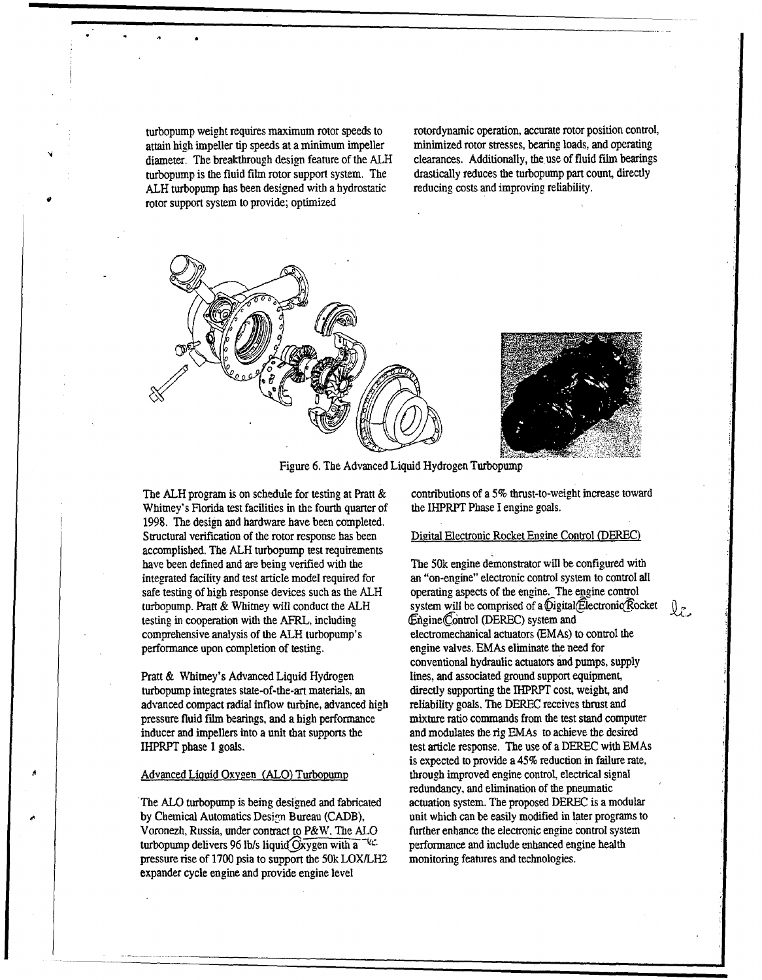turbopump weight requires maximum rotor speeds to rotordynamic operation, accurate rotor position control, attain high impeller tip speeds at a minimum impeller minimized rotor stresses, bearing loads, and operating attain high impeller tip speeds at a minimum impeller minimized rotor stresses, bearing loads, and operating diameter. The breakthrough design feature of the ALH clearances. Additionally, the use of fluid film bearings diameter. The breakthrough design feature of the ALH clearances. Additionally, the use of fluid film bearing<br>turbonumn is the fluid film rotor support system. The drastically reduces the turbonump part count, directly turbopump is the fluid film rotor support system. The drastically reduces the turbopump part count, directly and improving reliability. ALH turbopump has been designed with a hydrostatic rotor support system to provide; optimized





Figure 6. The Advanced Liquid Hydrogen Turbopump

Whitney's Florida test facilities in the fourth quarter of 1998. The design and hardware have been completed. Structural verification of the rotor response has been Digital Electronic Rocket Engine Control (DEREC) accomplished. The ALH turbopump test requirements integrated facility and test article model required for an "on-engine" electronic control system to control all<br>safe testing of high response devices such as the ALH operating aspects of the engine. The engine control safe testing of high response devices such as the ALH testing in cooperation with the AFRL, including  $\qquad \qquad$  Engine(Control (DEREC) system and comprehensive analysis of the ALH turbopump's electromechanical actuators (EMAs) to control the performance upon completion of testing. engine valves. EMAs eliminate the need for

turbopump integrates state-of-the-art materials, an directly supporting the 1HPRPT cost, weight, and advanced compact radial inflow turbine, advanced high reliability goals. The DEREC receives thrust and pressure fluid **film** bearings, and a high performance mixture ratio commands from the test stand computer inducer and impellers into a unit that supports the and modulates the rig EMAs to achieve the desired IHPRPT phase 1 goals. test article response. The use of a DEREC with EMAs

by Chemical Automatics Design Bureau (CADB), unit which can be easily modified in later programs to Voronezh, Russia, under contract to P&W. The ALO further enhance the electronic engine control system turbopump delivers 96 lb/s liquid  $\overline{O}$ xygen with a  $\overline{O}$  performance and include enhanced engine health pressure rise of 1700 psia to support the 50k LOX/LH2 monitoring features and technologies. expander cycle engine and provide engine level

The ALH program is on schedule for testing at Pratt & contributions of a 5% thrust-to-weight increase toward Whitney's Florida test facilities in the fourth quarter of the IHPRPT Phase I engine goals.

The 50k engine demonstrator will be configured with turbopump. Pratt & Whitney will conduct the ALH system will be comprised of a Digital(Electronic Rocket  $\mathbb{Q}_{\mathcal{F}}$ conventional hydraulic actuators and pumps, supply Pratt & Whitney's Advanced Liquid Hydrogen lines, and associated ground support equipment, is expected to provide a 45% reduction in failure rate, Advanced Liquid Oxygen (ALO) Turbopump through improved engine control, electrical signal redundancy, and elimination of the pneumatic The ALO turbopump is being designed and fabricated actuation system. The proposed DEREC is a modular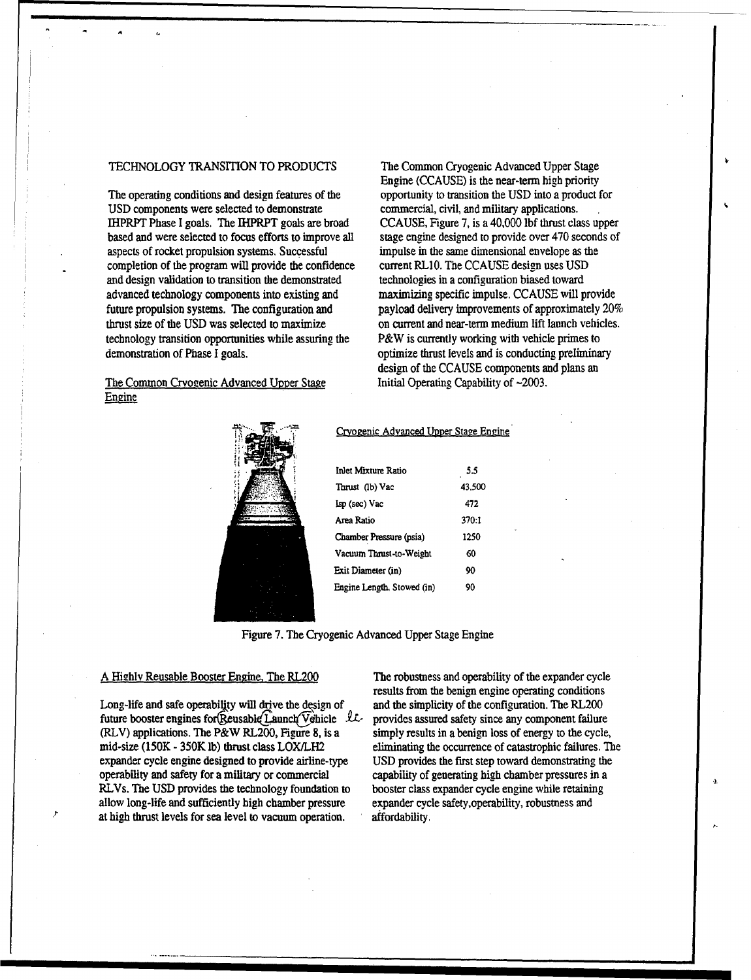## TECHNOLOGY TRANSITION TO PRODUCTS The Common Cryogenic Advanced Upper Stage

The operating conditions and design features of the opportunity to transition the USD into a product for USD components were selected to demonstrate commercial, civil, and military applications. IHPRPT Phase I goals. The IHPRPT goals are broad CCAUSE, Figure 7, is a 40,000 lbf thrust class upper based and were selected to focus efforts to improve all stage engine designed to provide over 470 seconds of aspects of rocket propulsion systems. Successful impulse in the same dimensional envelope as the completion of the program will provide the confidence current RLIO. The CCAUSE design uses USD and design validation to transition the demonstrated technologies in a configuration biased toward advanced technology components into existing and maximizing specific impulse. CCAUSE will provide future propulsion systems. The configuration and payload delivery improvements of approximately 20% thrust size of the **USD** was selected to maximize on current and near-term medium lift launch vehicles. technology transition opportunities while assuring the P&W is currently working with vehicle primes to demonstration of Phase I goals.  $\blacksquare$  optimize thrust levels and is conducting preliminary

## The Common Cryogenic Advanced Upper Stage Initial Operating Capability of ~2003.<br>Engine

Engine (CCAUSE) is the near-term high priority design of the CCAUSE components and plans an



## Cryogenic Advanced Upper Stage Engine

| Inlet Mixture Ratio        | 5.5    |  |
|----------------------------|--------|--|
| Thrust (lb) Vac            | 43.500 |  |
| Isp (sec) Vac              | 472    |  |
| Area Ratio                 | 370:1  |  |
| Chamber Pressure (psia)    | 1250   |  |
| Vacuum Thrust-to-Weight    | 60     |  |
| Exit Diameter (in)         | 90     |  |
| Engine Length, Stowed (in) | 90     |  |

Figure 7. The Cryogenic Advanced Upper Stage Engine

Long-life and safe operability will drive the design of and the simplicity of the configuration. The RL200 future booster engines for(Reusable(Launch(Vehicle *LL*-provides assured safety since any component failure (RLV) applications. The P&W RL200, Figure 8, is a simply results in a benign loss of energy to the cycle, mid-size (150K - 350K lb) thrust class LOX/LH2 eliminating the occurrence of catastrophic failures. The expander cycle engine designed to provide airline-type USD provides the first step toward demonstrating the operability and safety for a military or commercial capability of generating high chamber pressures in a RLVs. The USD provides the technology foundation to booster class expander cycle engine while retaining allow long-life and sufficiently high chamber pressure expander cycle safety,operability, robustness and at high thrust levels for sea level to vacuum operation, affordability.

A Highly Reusable Booster Engine, The RL200 The robustness and operability of the expander cycle results from the benign engine operating conditions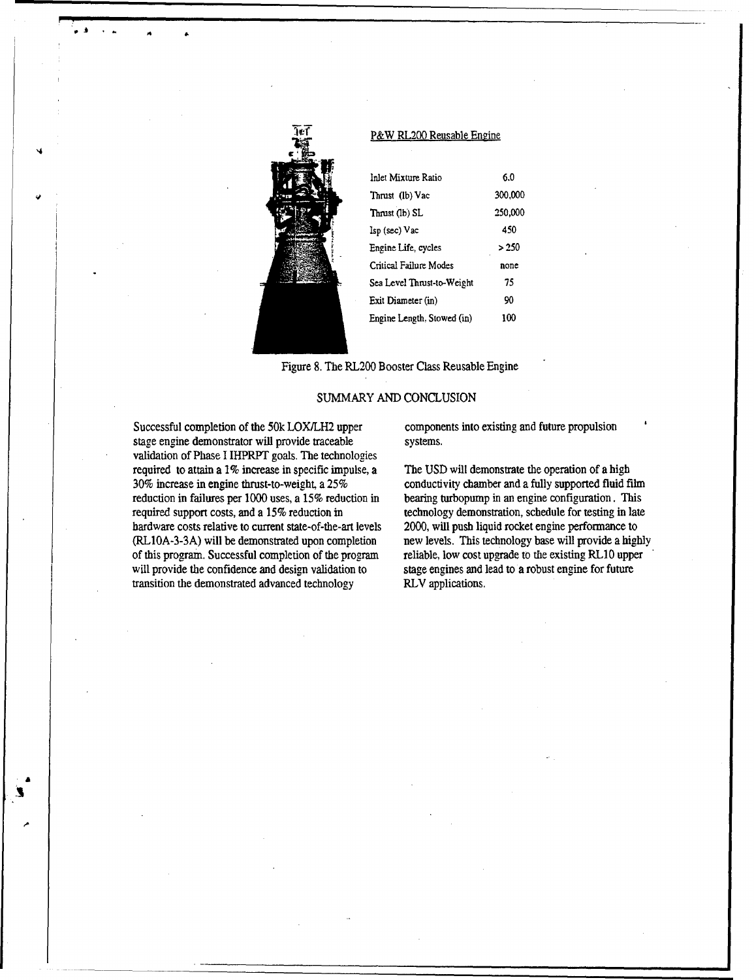

9\* *A*4

## P&W RL200 Reusable Engine

| Inlet Mixture Ratio        | 6.0     |
|----------------------------|---------|
| Thrust (lb) Vac            | 300,000 |
| Thrust (lb) SL             | 250,000 |
| Isp (sec) Vac              | 450     |
| Engine Life, cycles        | >250    |
| Critical Failure Modes     | none    |
| Sea Level Thrust-to-Weight | 75      |
| Exit Diameter (in)         | 90      |
| Engine Length, Stowed (in) | 100     |

Figure 8. The RL200 Booster Class Reusable Engine

## SUMMARY AND CONCLUSION

Successful completion of the 50k LOXILH2 upper components into existing and future propulsion stage engine demonstrator will provide traceable systems. validation of Phase I IHPRPT goals. The technologies required to attain a 1% increase in specific impulse, a The **USD** will demonstrate the operation of a high 30% increase in engine thrust-to-weight, a 25% conductivity chamber and a fully supported fluid film reduction in failures per 1000 uses, a 15% reduction in bearing turbopump in an engine configuration. This required support costs, and a 15% reduction in technology demonstration, schedule for testing in late hardware costs relative to current state-of-the-art levels 2000, will push liquid rocket engine performance to (RL1OA-3-3A) will be demonstrated upon completion new levels. This technology base will provide a highly of this program. Successful completion of the program reliable, low cost upgrade to the existing RLIO upper will provide the confidence and design validation to stage engines and lead to a robust engine for future transition the demonstrated advanced technology RLV applications.